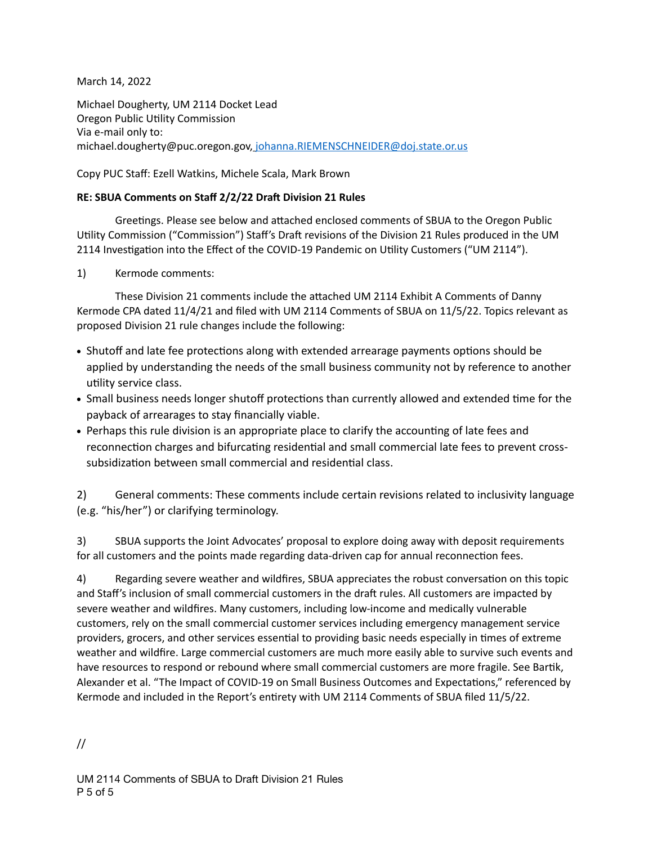March 14, 2022

Michael Dougherty, UM 2114 Docket Lead Oregon Public Utility Commission Via e-mail only to: michael.dougherty@puc.oregon.gov, [johanna.RIEMENSCHNEIDER@doj.state.or.us](mailto:johanna.RIEMENSCHNEIDER@doj.state.or.us)

Copy PUC Staff: Ezell Watkins, Michele Scala, Mark Brown

## **RE: SBUA Comments on Staff 2/2/22 Draft Division 21 Rules**

Greetings. Please see below and attached enclosed comments of SBUA to the Oregon Public Utility Commission ("Commission") Staff's Draft revisions of the Division 21 Rules produced in the UM 2114 Investigation into the Effect of the COVID-19 Pandemic on Utility Customers ("UM 2114").

1) Kermode comments:

These Division 21 comments include the attached UM 2114 Exhibit A Comments of Danny Kermode CPA dated 11/4/21 and filed with UM 2114 Comments of SBUA on 11/5/22. Topics relevant as proposed Division 21 rule changes include the following:

- Shutoff and late fee protections along with extended arrearage payments options should be applied by understanding the needs of the small business community not by reference to another utility service class.
- Small business needs longer shutoff protections than currently allowed and extended time for the payback of arrearages to stay financially viable.
- Perhaps this rule division is an appropriate place to clarify the accounting of late fees and reconnection charges and bifurcating residential and small commercial late fees to prevent crosssubsidization between small commercial and residential class.

2) General comments: These comments include certain revisions related to inclusivity language (e.g. "his/her") or clarifying terminology.

3) SBUA supports the Joint Advocates' proposal to explore doing away with deposit requirements for all customers and the points made regarding data-driven cap for annual reconnection fees.

4) Regarding severe weather and wildfires, SBUA appreciates the robust conversation on this topic and Staff's inclusion of small commercial customers in the draft rules. All customers are impacted by severe weather and wildfires. Many customers, including low-income and medically vulnerable customers, rely on the small commercial customer services including emergency management service providers, grocers, and other services essential to providing basic needs especially in times of extreme weather and wildfire. Large commercial customers are much more easily able to survive such events and have resources to respond or rebound where small commercial customers are more fragile. See Bartik, Alexander et al. "The Impact of COVID-19 on Small Business Outcomes and Expectations," referenced by Kermode and included in the Report's entirety with UM 2114 Comments of SBUA filed 11/5/22.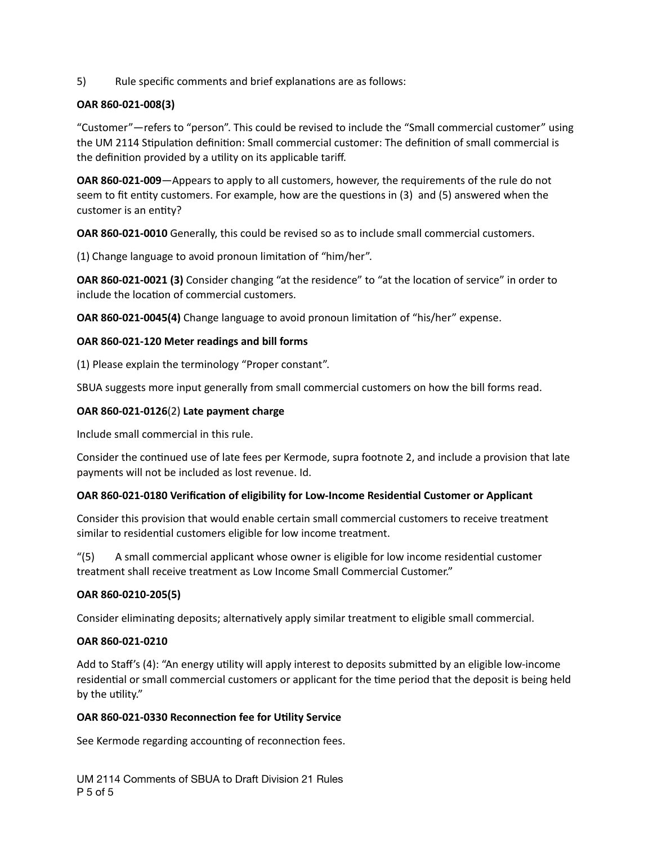5) Rule specific comments and brief explanations are as follows:

## **OAR 860-021-008(3)**

"Customer"—refers to "person". This could be revised to include the "Small commercial customer" using the UM 2114 Stipulation definition: Small commercial customer: The definition of small commercial is the definition provided by a utility on its applicable tariff.

**OAR 860-021-009**—Appears to apply to all customers, however, the requirements of the rule do not seem to fit entity customers. For example, how are the questions in (3) and (5) answered when the customer is an entity?

**OAR 860-021-0010** Generally, this could be revised so as to include small commercial customers.

(1) Change language to avoid pronoun limitation of "him/her".

**OAR 860-021-0021 (3)** Consider changing "at the residence" to "at the location of service" in order to include the location of commercial customers.

**OAR 860-021-0045(4)** Change language to avoid pronoun limitation of "his/her" expense.

## **OAR 860-021-120 Meter readings and bill forms**

(1) Please explain the terminology "Proper constant".

SBUA suggests more input generally from small commercial customers on how the bill forms read.

## **OAR 860-021-0126**(2) **Late payment charge**

Include small commercial in this rule.

Consider the continued use of late fees per Kermode, supra footnote 2, and include a provision that late payments will not be included as lost revenue. Id.

# **OAR 860-021-0180 Verification of eligibility for Low-Income Residential Customer or Applicant**

Consider this provision that would enable certain small commercial customers to receive treatment similar to residential customers eligible for low income treatment.

"(5) A small commercial applicant whose owner is eligible for low income residential customer treatment shall receive treatment as Low Income Small Commercial Customer."

# **OAR 860-0210-205(5)**

Consider eliminating deposits; alternatively apply similar treatment to eligible small commercial.

## **OAR 860-021-0210**

Add to Staff's (4): "An energy utility will apply interest to deposits submitted by an eligible low-income residential or small commercial customers or applicant for the time period that the deposit is being held by the utility."

## **OAR 860-021-0330 Reconnection fee for Utility Service**

See Kermode regarding accounting of reconnection fees.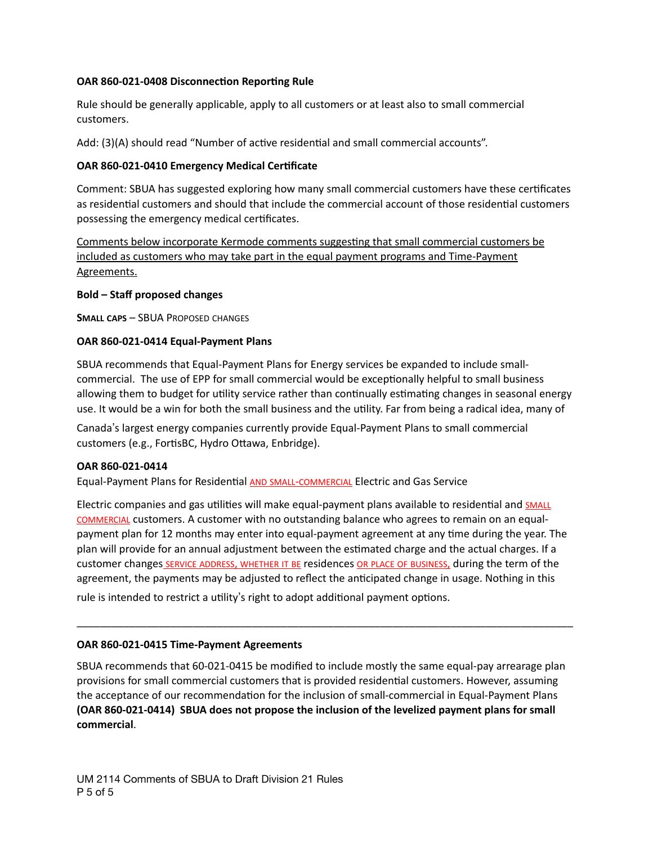## **OAR 860-021-0408 Disconnection Reporting Rule**

Rule should be generally applicable, apply to all customers or at least also to small commercial customers.

Add: (3)(A) should read "Number of active residential and small commercial accounts".

### **OAR 860-021-0410 Emergency Medical Certificate**

Comment: SBUA has suggested exploring how many small commercial customers have these certificates as residential customers and should that include the commercial account of those residential customers possessing the emergency medical certificates.

Comments below incorporate Kermode comments suggesting that small commercial customers be included as customers who may take part in the equal payment programs and Time-Payment Agreements.

#### **Bold – Staff proposed changes**

**SMALL CAPS** – SBUA PROPOSED CHANGES

#### **OAR 860-021-0414 Equal-Payment Plans**

SBUA recommends that Equal-Payment Plans for Energy services be expanded to include smallcommercial. The use of EPP for small commercial would be exceptionally helpful to small business allowing them to budget for utility service rather than continually estimating changes in seasonal energy use. It would be a win for both the small business and the utility. Far from being a radical idea, many of

Canada's largest energy companies currently provide Equal-Payment Plans to small commercial customers (e.g., FortisBC, Hydro Ottawa, Enbridge).

#### **OAR 860-021-0414**

Equal-Payment Plans for Residential AND SMALL-COMMERCIAL Electric and Gas Service

Electric companies and gas utilities will make equal-payment plans available to residential and SMALL COMMERCIAL customers. A customer with no outstanding balance who agrees to remain on an equalpayment plan for 12 months may enter into equal-payment agreement at any time during the year. The plan will provide for an annual adjustment between the estimated charge and the actual charges. If a customer changes SERVICE ADDRESS, WHETHER IT BE residences OR PLACE OF BUSINESS, during the term of the agreement, the payments may be adjusted to reflect the anticipated change in usage. Nothing in this

\_\_\_\_\_\_\_\_\_\_\_\_\_\_\_\_\_\_\_\_\_\_\_\_\_\_\_\_\_\_\_\_\_\_\_\_\_\_\_\_\_\_\_\_\_\_\_\_\_\_\_\_\_\_\_\_\_\_\_\_\_\_\_\_\_\_\_\_\_\_\_\_\_\_\_\_\_\_\_\_\_\_\_\_\_

rule is intended to restrict a utility's right to adopt additional payment options.

### **OAR 860-021-0415 Time-Payment Agreements**

SBUA recommends that 60-021-0415 be modified to include mostly the same equal-pay arrearage plan provisions for small commercial customers that is provided residential customers. However, assuming the acceptance of our recommendation for the inclusion of small-commercial in Equal-Payment Plans **(OAR 860-021-0414) SBUA does not propose the inclusion of the levelized payment plans for small commercial**.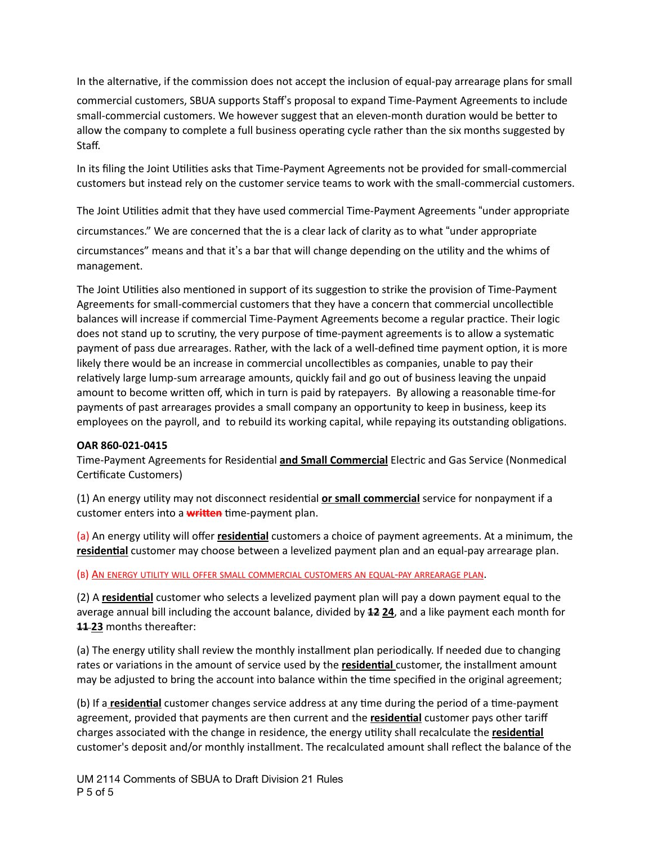In the alternative, if the commission does not accept the inclusion of equal-pay arrearage plans for small

commercial customers, SBUA supports Staff's proposal to expand Time-Payment Agreements to include small-commercial customers. We however suggest that an eleven-month duration would be better to allow the company to complete a full business operating cycle rather than the six months suggested by Staff.

In its filing the Joint Utilities asks that Time-Payment Agreements not be provided for small-commercial customers but instead rely on the customer service teams to work with the small-commercial customers.

The Joint Utilities admit that they have used commercial Time-Payment Agreements "under appropriate circumstances." We are concerned that the is a clear lack of clarity as to what "under appropriate circumstances" means and that it's a bar that will change depending on the utility and the whims of management.

The Joint Utilities also mentioned in support of its suggestion to strike the provision of Time-Payment Agreements for small-commercial customers that they have a concern that commercial uncollectible balances will increase if commercial Time-Payment Agreements become a regular practice. Their logic does not stand up to scrutiny, the very purpose of time-payment agreements is to allow a systematic payment of pass due arrearages. Rather, with the lack of a well-defined time payment option, it is more likely there would be an increase in commercial uncollectibles as companies, unable to pay their relatively large lump-sum arrearage amounts, quickly fail and go out of business leaving the unpaid amount to become written off, which in turn is paid by ratepayers. By allowing a reasonable time-for payments of past arrearages provides a small company an opportunity to keep in business, keep its employees on the payroll, and to rebuild its working capital, while repaying its outstanding obligations.

## **OAR 860-021-0415**

Time-Payment Agreements for Residential **and Small Commercial** Electric and Gas Service (Nonmedical Certificate Customers)

(1) An energy utility may not disconnect residential **or small commercial** service for nonpayment if a customer enters into a **written** time-payment plan.

(a) An energy utility will offer **residential** customers a choice of payment agreements. At a minimum, the **residential** customer may choose between a levelized payment plan and an equal-pay arrearage plan.

(B) AN ENERGY UTILITY WILL OFFER SMALL COMMERCIAL CUSTOMERS AN EQUAL-PAY ARREARAGE PLAN.

(2) A **residential** customer who selects a levelized payment plan will pay a down payment equal to the average annual bill including the account balance, divided by **12 24**, and a like payment each month for **11 23** months thereafter:

(a) The energy utility shall review the monthly installment plan periodically. If needed due to changing rates or variations in the amount of service used by the **residential** customer, the installment amount may be adjusted to bring the account into balance within the time specified in the original agreement;

(b) If a **residential** customer changes service address at any time during the period of a time-payment agreement, provided that payments are then current and the **residential** customer pays other tariff charges associated with the change in residence, the energy utility shall recalculate the **residential** customer's deposit and/or monthly installment. The recalculated amount shall reflect the balance of the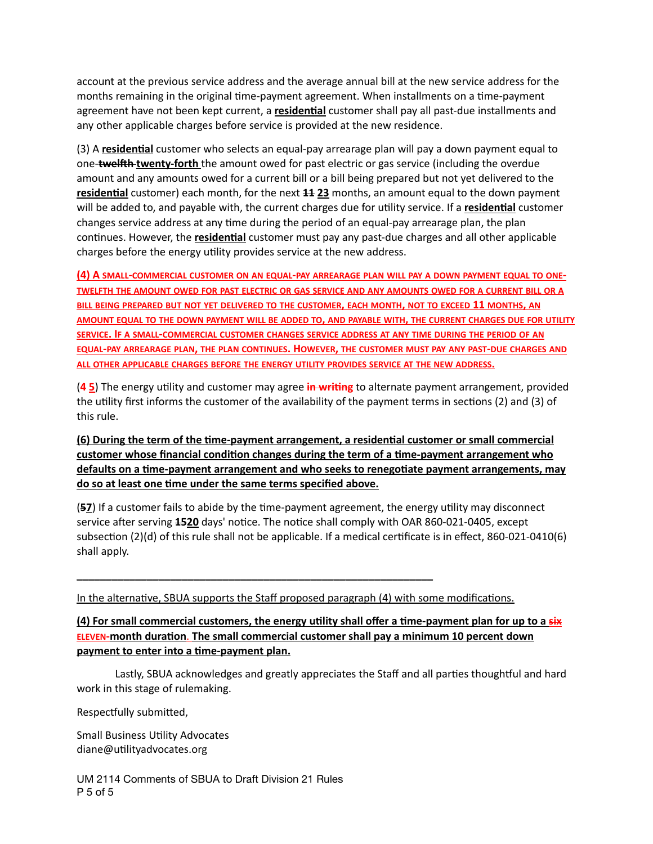account at the previous service address and the average annual bill at the new service address for the months remaining in the original time-payment agreement. When installments on a time-payment agreement have not been kept current, a **residential** customer shall pay all past-due installments and any other applicable charges before service is provided at the new residence.

(3) A **residential** customer who selects an equal-pay arrearage plan will pay a down payment equal to one-**twelfth twenty-forth** the amount owed for past electric or gas service (including the overdue amount and any amounts owed for a current bill or a bill being prepared but not yet delivered to the **residential** customer) each month, for the next **11 23** months, an amount equal to the down payment will be added to, and payable with, the current charges due for utility service. If a **residential** customer changes service address at any time during the period of an equal-pay arrearage plan, the plan continues. However, the **residential** customer must pay any past-due charges and all other applicable charges before the energy utility provides service at the new address.

**(4) A SMALL-COMMERCIAL CUSTOMER ON AN EQUAL-PAY ARREARAGE PLAN WILL PAY A DOWN PAYMENT EQUAL TO ONE-TWELFTH THE AMOUNT OWED FOR PAST ELECTRIC OR GAS SERVICE AND ANY AMOUNTS OWED FOR A CURRENT BILL OR A BILL BEING PREPARED BUT NOT YET DELIVERED TO THE CUSTOMER, EACH MONTH, NOT TO EXCEED 11 MONTHS, AN AMOUNT EQUAL TO THE DOWN PAYMENT WILL BE ADDED TO, AND PAYABLE WITH, THE CURRENT CHARGES DUE FOR UTILITY SERVICE. IF A SMALL-COMMERCIAL CUSTOMER CHANGES SERVICE ADDRESS AT ANY TIME DURING THE PERIOD OF AN EQUAL-PAY ARREARAGE PLAN, THE PLAN CONTINUES. HOWEVER, THE CUSTOMER MUST PAY ANY PAST-DUE CHARGES AND ALL OTHER APPLICABLE CHARGES BEFORE THE ENERGY UTILITY PROVIDES SERVICE AT THE NEW ADDRESS.**

(**4 5**) The energy utility and customer may agree **in writing** to alternate payment arrangement, provided the utility first informs the customer of the availability of the payment terms in sections (2) and (3) of this rule.

**(6) During the term of the time-payment arrangement, a residential customer or small commercial customer whose financial condition changes during the term of a time-payment arrangement who defaults on a time-payment arrangement and who seeks to renegotiate payment arrangements, may do so at least one time under the same terms specified above.**

(**57**) If a customer fails to abide by the time-payment agreement, the energy utility may disconnect service after serving **1520** days' notice. The notice shall comply with OAR 860-021-0405, except subsection (2)(d) of this rule shall not be applicable. If a medical certificate is in effect, 860-021-0410(6) shall apply.

In the alternative, SBUA supports the Staff proposed paragraph (4) with some modifications.

**\_\_\_\_\_\_\_\_\_\_\_\_\_\_\_\_\_\_\_\_\_\_\_\_\_\_\_\_\_\_\_\_\_\_\_\_\_\_\_\_\_\_\_\_\_\_\_\_\_\_\_\_\_\_\_\_\_\_\_\_\_**

**(4) For small commercial customers, the energy utility shall offer a time-payment plan for up to a six ELEVEN-month duration**. **The small commercial customer shall pay a minimum 10 percent down payment to enter into a time-payment plan.**

Lastly, SBUA acknowledges and greatly appreciates the Staff and all parties thoughtful and hard work in this stage of rulemaking.

Respectfully submitted,

Small Business Utility Advocates diane@utilityadvocates.org

UM 2114 Comments of SBUA to Draft Division 21 Rules P 5 of 5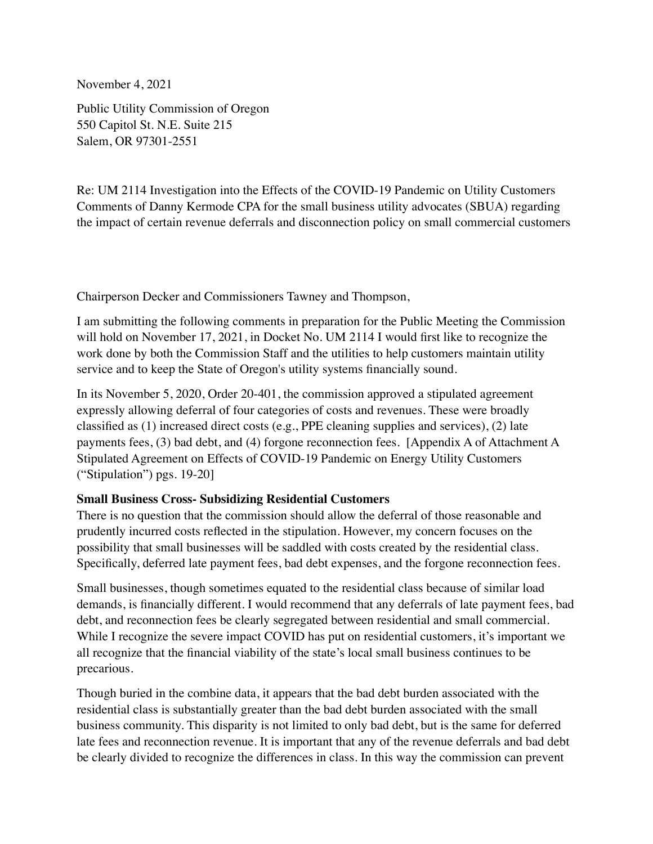November 4, 2021

Public Utility Commission of Oregon 550 Capitol St. N.E. Suite 215 Salem, OR 97301-2551

Re: UM 2114 Investigation into the Effects of the COVID-19 Pandemic on Utility Customers Comments of Danny Kermode CPA for the small business utility advocates (SBUA) regarding the impact of certain revenue deferrals and disconnection policy on small commercial customers

Chairperson Decker and Commissioners Tawney and Thompson,

I am submitting the following comments in preparation for the Public Meeting the Commission will hold on November 17, 2021, in Docket No. UM 2114 I would first like to recognize the work done by both the Commission Staff and the utilities to help customers maintain utility service and to keep the State of Oregon's utility systems financially sound.

In its November 5, 2020, Order 20-401, the commission approved a stipulated agreement expressly allowing deferral of four categories of costs and revenues. These were broadly classified as (1) increased direct costs (e.g., PPE cleaning supplies and services), (2) late payments fees, (3) bad debt, and (4) forgone reconnection fees. [Appendix A of Attachment A Stipulated Agreement on Effects of COVID-19 Pandemic on Energy Utility Customers ("Stipulation") pgs. 19-20]

# **Small Business Cross- Subsidizing Residential Customers**

There is no question that the commission should allow the deferral of those reasonable and prudently incurred costs reflected in the stipulation. However, my concern focuses on the possibility that small businesses will be saddled with costs created by the residential class. Specifically, deferred late payment fees, bad debt expenses, and the forgone reconnection fees.

Small businesses, though sometimes equated to the residential class because of similar load demands, is financially different. I would recommend that any deferrals of late payment fees, bad debt, and reconnection fees be clearly segregated between residential and small commercial. While I recognize the severe impact COVID has put on residential customers, it's important we all recognize that the financial viability of the state's local small business continues to be precarious.

Though buried in the combine data, it appears that the bad debt burden associated with the residential class is substantially greater than the bad debt burden associated with the small business community. This disparity is not limited to only bad debt, but is the same for deferred late fees and reconnection revenue. It is important that any of the revenue deferrals and bad debt be clearly divided to recognize the differences in class. In this way the commission can prevent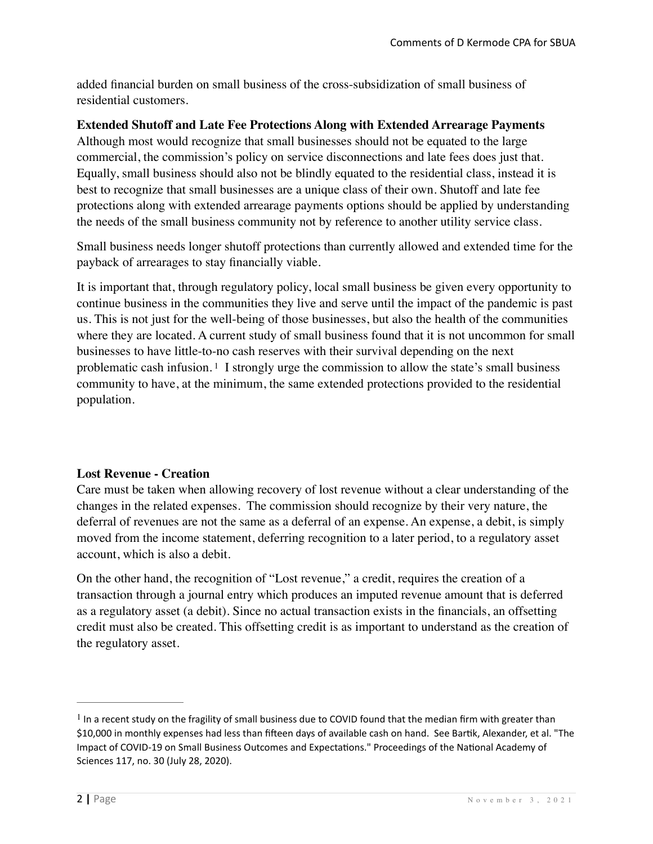added financial burden on small business of the cross-subsidization of small business of residential customers.

# **Extended Shutoff and Late Fee Protections Along with Extended Arrearage Payments**

Although most would recognize that small businesses should not be equated to the large commercial, the commission's policy on service disconnections and late fees does just that. Equally, small business should also not be blindly equated to the residential class, instead it is best to recognize that small businesses are a unique class of their own. Shutoff and late fee protections along with extended arrearage payments options should be applied by understanding the needs of the small business community not by reference to another utility service class.

Small business needs longer shutoff protections than currently allowed and extended time for the payback of arrearages to stay financially viable.

<span id="page-6-1"></span>It is important that, through regulatory policy, local small business be given every opportunity to continue business in the communities they live and serve until the impact of the pandemic is past us. This is not just for the well-being of those businesses, but also the health of the communities where they are located. A current study of small business found that it is not uncommon for small businesses to have little-to-no cash reserves with their survival depending on the next problematiccash infusion.<sup>[1](#page-6-0)</sup> I strongly urge the commission to allow the state's small business community to have, at the minimum, the same extended protections provided to the residential population.

# **Lost Revenue - Creation**

Care must be taken when allowing recovery of lost revenue without a clear understanding of the changes in the related expenses. The commission should recognize by their very nature, the deferral of revenues are not the same as a deferral of an expense. An expense, a debit, is simply moved from the income statement, deferring recognition to a later period, to a regulatory asset account, which is also a debit.

On the other hand, the recognition of "Lost revenue," a credit, requires the creation of a transaction through a journal entry which produces an imputed revenue amount that is deferred as a regulatory asset (a debit). Since no actual transaction exists in the financials, an offsetting credit must also be created. This offsetting credit is as important to understand as the creation of the regulatory asset.

<span id="page-6-0"></span> $<sup>1</sup>$  $<sup>1</sup>$  $<sup>1</sup>$  In a recent study on the fragility of small business due to COVID found that the median firm with greater than</sup> \$10,000 in monthly expenses had less than fifteen days of available cash on hand. See Bartik, Alexander, et al. "The Impact of COVID-19 on Small Business Outcomes and Expectations." Proceedings of the National Academy of Sciences 117, no. 30 (July 28, 2020).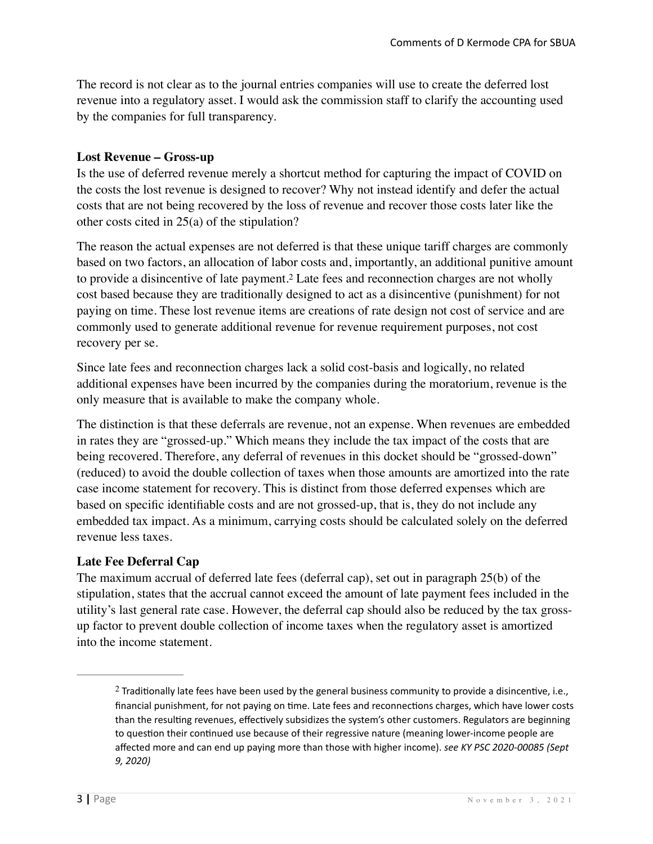The record is not clear as to the journal entries companies will use to create the deferred lost revenue into a regulatory asset. I would ask the commission staff to clarify the accounting used by the companies for full transparency.

# **Lost Revenue – Gross-up**

Is the use of deferred revenue merely a shortcut method for capturing the impact of COVID on the costs the lost revenue is designed to recover? Why not instead identify and defer the actual costs that are not being recovered by the loss of revenue and recover those costs later like the other costs cited in 25(a) of the stipulation?

<span id="page-7-1"></span>The reason the actual expenses are not deferred is that these unique tariff charges are commonly based on two factors, an allocation of labor costs and, importantly, an additional punitive amount toprovide a disincentive of late payment.<sup>[2](#page-7-0)</sup> Late fees and reconnection charges are not wholly cost based because they are traditionally designed to act as a disincentive (punishment) for not paying on time. These lost revenue items are creations of rate design not cost of service and are commonly used to generate additional revenue for revenue requirement purposes, not cost recovery per se.

Since late fees and reconnection charges lack a solid cost-basis and logically, no related additional expenses have been incurred by the companies during the moratorium, revenue is the only measure that is available to make the company whole.

The distinction is that these deferrals are revenue, not an expense. When revenues are embedded in rates they are "grossed-up." Which means they include the tax impact of the costs that are being recovered. Therefore, any deferral of revenues in this docket should be "grossed-down" (reduced) to avoid the double collection of taxes when those amounts are amortized into the rate case income statement for recovery. This is distinct from those deferred expenses which are based on specific identifiable costs and are not grossed-up, that is, they do not include any embedded tax impact. As a minimum, carrying costs should be calculated solely on the deferred revenue less taxes.

# **Late Fee Deferral Cap**

The maximum accrual of deferred late fees (deferral cap), set out in paragraph 25(b) of the stipulation, states that the accrual cannot exceed the amount of late payment fees included in the utility's last general rate case. However, the deferral cap should also be reduced by the tax grossup factor to prevent double collection of income taxes when the regulatory asset is amortized into the income statement.

<span id="page-7-0"></span><sup>&</sup>lt;sup>[2](#page-7-1)</sup> Traditionally late fees have been used by the general business community to provide a disincentive, i.e., financial punishment, for not paying on time. Late fees and reconnections charges, which have lower costs than the resulting revenues, effectively subsidizes the system's other customers. Regulators are beginning to question their continued use because of their regressive nature (meaning lower-income people are affected more and can end up paying more than those with higher income). *see KY PSC 2020-00085 (Sept 9, 2020)*